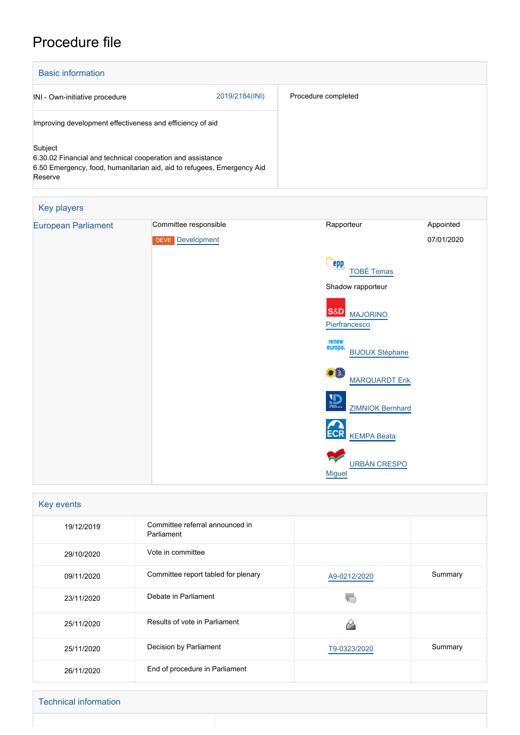# Procedure file

| <b>Basic information</b>                                                                                                                                   |                |                     |  |
|------------------------------------------------------------------------------------------------------------------------------------------------------------|----------------|---------------------|--|
| INI - Own-initiative procedure                                                                                                                             | 2019/2184(INI) | Procedure completed |  |
| Improving development effectiveness and efficiency of aid                                                                                                  |                |                     |  |
| Subject<br>6.30.02 Financial and technical cooperation and assistance<br>6.50 Emergency, food, humanitarian aid, aid to refugees, Emergency Aid<br>Reserve |                |                     |  |

| Key players                |                                           |                                                                    |                         |
|----------------------------|-------------------------------------------|--------------------------------------------------------------------|-------------------------|
| <b>European Parliament</b> | Committee responsible<br>DEVE Development | Rapporteur                                                         | Appointed<br>07/01/2020 |
|                            |                                           | <b>PPP</b><br><b>TOBÉ Tomas</b>                                    |                         |
|                            |                                           | Shadow rapporteur                                                  |                         |
|                            |                                           | <b>S&amp;D</b><br><b>MAJORINO</b><br>Pierfrancesco                 |                         |
|                            |                                           | renew<br>europe.<br><b>BIJOUX Stéphane</b>                         |                         |
|                            |                                           | $\bullet$ <sup><math>\bullet</math></sup><br><b>MARQUARDT Erik</b> |                         |
|                            |                                           | $\mathbf{D}$<br><b>ZIMNIOK Bernhard</b>                            |                         |
|                            |                                           | <b>ECR</b><br><b>KEMPA Beata</b>                                   |                         |
|                            |                                           | <b>URBÁN CRESPO</b><br><b>Miguel</b>                               |                         |

| Key events |                                               |              |         |  |
|------------|-----------------------------------------------|--------------|---------|--|
| 19/12/2019 | Committee referral announced in<br>Parliament |              |         |  |
| 29/10/2020 | Vote in committee                             |              |         |  |
| 09/11/2020 | Committee report tabled for plenary           | A9-0212/2020 | Summary |  |
| 23/11/2020 | Debate in Parliament                          |              |         |  |
| 25/11/2020 | Results of vote in Parliament                 |              |         |  |
| 25/11/2020 | Decision by Parliament                        | T9-0323/2020 | Summary |  |
| 26/11/2020 | End of procedure in Parliament                |              |         |  |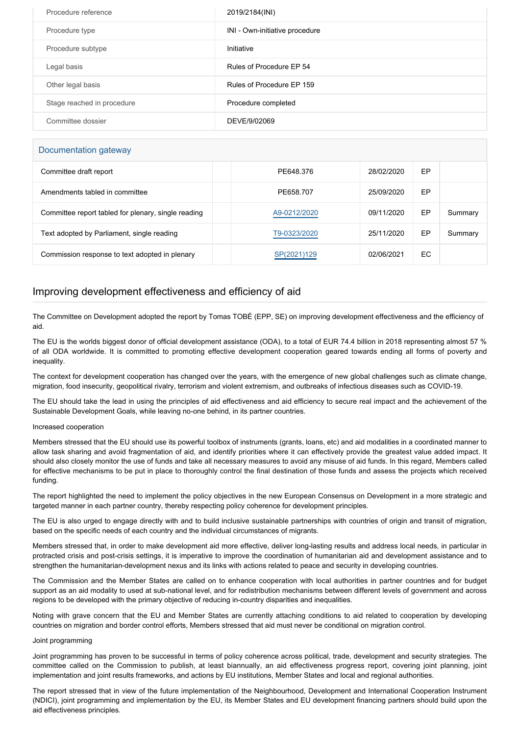| Procedure reference        | 2019/2184(INI)                 |
|----------------------------|--------------------------------|
| Procedure type             | INI - Own-initiative procedure |
| Procedure subtype          | Initiative                     |
| Legal basis                | Rules of Procedure EP 54       |
| Other legal basis          | Rules of Procedure EP 159      |
| Stage reached in procedure | Procedure completed            |
| Committee dossier          | DEVE/9/02069                   |

## Documentation gateway

| Committee draft report                              | PE648.376    | 28/02/2020 | EP  |         |  |
|-----------------------------------------------------|--------------|------------|-----|---------|--|
| Amendments tabled in committee                      | PE658.707    | 25/09/2020 | EP  |         |  |
| Committee report tabled for plenary, single reading | A9-0212/2020 | 09/11/2020 | EP  | Summary |  |
| Text adopted by Parliament, single reading          | T9-0323/2020 | 25/11/2020 | EP  | Summary |  |
| Commission response to text adopted in plenary      | SP(2021)129  | 02/06/2021 | EC. |         |  |

# Improving development effectiveness and efficiency of aid

The Committee on Development adopted the report by Tomas TOBÉ (EPP, SE) on improving development effectiveness and the efficiency of aid.

The EU is the worlds biggest donor of official development assistance (ODA), to a total of EUR 74.4 billion in 2018 representing almost 57 % of all ODA worldwide. It is committed to promoting effective development cooperation geared towards ending all forms of poverty and inequality.

The context for development cooperation has changed over the years, with the emergence of new global challenges such as climate change, migration, food insecurity, geopolitical rivalry, terrorism and violent extremism, and outbreaks of infectious diseases such as COVID-19.

The EU should take the lead in using the principles of aid effectiveness and aid efficiency to secure real impact and the achievement of the Sustainable Development Goals, while leaving no-one behind, in its partner countries.

### Increased cooperation

Members stressed that the EU should use its powerful toolbox of instruments (grants, loans, etc) and aid modalities in a coordinated manner to allow task sharing and avoid fragmentation of aid, and identify priorities where it can effectively provide the greatest value added impact. It should also closely monitor the use of funds and take all necessary measures to avoid any misuse of aid funds. In this regard, Members called for effective mechanisms to be put in place to thoroughly control the final destination of those funds and assess the projects which received funding.

The report highlighted the need to implement the policy objectives in the new European Consensus on Development in a more strategic and targeted manner in each partner country, thereby respecting policy coherence for development principles.

The EU is also urged to engage directly with and to build inclusive sustainable partnerships with countries of origin and transit of migration, based on the specific needs of each country and the individual circumstances of migrants.

Members stressed that, in order to make development aid more effective, deliver long-lasting results and address local needs, in particular in protracted crisis and post-crisis settings, it is imperative to improve the coordination of humanitarian aid and development assistance and to strengthen the humanitarian-development nexus and its links with actions related to peace and security in developing countries.

The Commission and the Member States are called on to enhance cooperation with local authorities in partner countries and for budget support as an aid modality to used at sub-national level, and for redistribution mechanisms between different levels of government and across regions to be developed with the primary objective of reducing in-country disparities and inequalities.

Noting with grave concern that the EU and Member States are currently attaching conditions to aid related to cooperation by developing countries on migration and border control efforts, Members stressed that aid must never be conditional on migration control.

#### Joint programming

Joint programming has proven to be successful in terms of policy coherence across political, trade, development and security strategies. The committee called on the Commission to publish, at least biannually, an aid effectiveness progress report, covering joint planning, joint implementation and joint results frameworks, and actions by EU institutions, Member States and local and regional authorities.

The report stressed that in view of the future implementation of the Neighbourhood, Development and International Cooperation Instrument (NDICI), joint programming and implementation by the EU, its Member States and EU development financing partners should build upon the aid effectiveness principles.